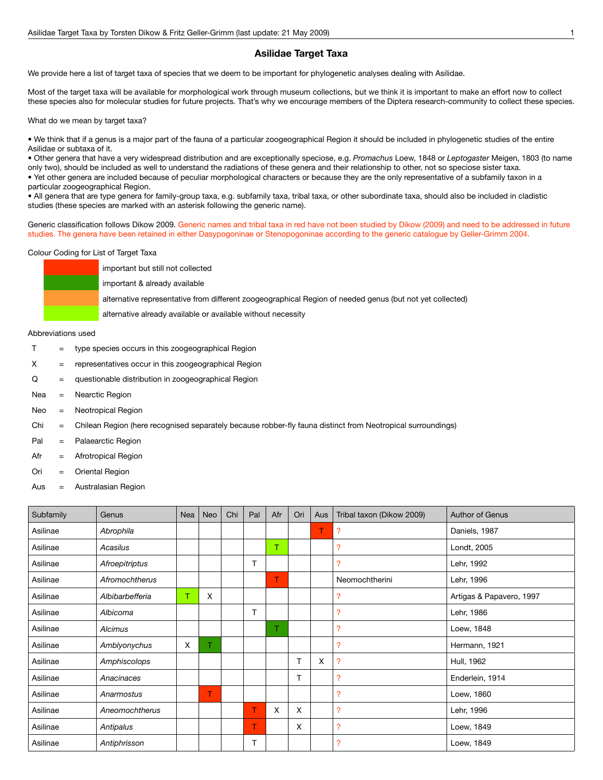## **Asilidae Target Taxa**

We provide here a list of target taxa of species that we deem to be important for phylogenetic analyses dealing with Asilidae.

Most of the target taxa will be available for morphological work through museum collections, but we think it is important to make an effort now to collect these species also for molecular studies for future projects. That's why we encourage members of the Diptera research-community to collect these species.

What do we mean by target taxa?

• We think that if a genus is a major part of the fauna of a particular zoogeographical Region it should be included in phylogenetic studies of the entire Asilidae or subtaxa of it.

• Other genera that have a very widespread distribution and are exceptionally speciose, e.g. *Promachus* Loew, 1848 or *Leptogaster* Meigen, 1803 (to name only two), should be included as well to understand the radiations of these genera and their relationship to other, not so speciose sister taxa. • Yet other genera are included because of peculiar morphological characters or because they are the only representative of a subfamily taxon in a

particular zoogeographical Region.

• All genera that are type genera for family-group taxa, e.g. subfamily taxa, tribal taxa, or other subordinate taxa, should also be included in cladistic studies (these species are marked with an asterisk following the generic name).

Generic classification follows Dikow 2009. Generic names and tribal taxa in red have not been studied by Dikow (2009) and need to be addressed in future studies. The genera have been retained in either Dasypogoninae or Stenopogoninae according to the generic catalogue by Geller-Grimm 2004.

## Colour Coding for List of Target Taxa



Abbreviations used

- $T =$  type species occurs in this zoogeographical Region
- $X =$  representatives occur in this zoogeographical Region
- Q = questionable distribution in zoogeographical Region
- Nea = Nearctic Region
- Neo = Neotropical Region
- Chi = Chilean Region (here recognised separately because robber-fly fauna distinct from Neotropical surroundings)
- Pal = Palaearctic Region
- Afr = Afrotropical Region
- Ori = Oriental Region
- Aus = Australasian Region

| Subfamily | Genus           | Nea | Neo | Chi | Pal | Afr | Ori | Aus | Tribal taxon (Dikow 2009) | <b>Author of Genus</b>   |
|-----------|-----------------|-----|-----|-----|-----|-----|-----|-----|---------------------------|--------------------------|
| Asilinae  | Abrophila       |     |     |     |     |     |     | T.  | $\overline{\mathcal{L}}$  | Daniels, 1987            |
| Asilinae  | Acasilus        |     |     |     |     | T.  |     |     | ?                         | Londt, 2005              |
| Asilinae  | Afroepitriptus  |     |     |     | T   |     |     |     | ?                         | Lehr, 1992               |
| Asilinae  | Afromochtherus  |     |     |     |     | T   |     |     | Neomochtherini            | Lehr, 1996               |
| Asilinae  | Albibarbefferia |     | X   |     |     |     |     |     | ?                         | Artigas & Papavero, 1997 |
| Asilinae  | Albicoma        |     |     |     | T   |     |     |     | ?                         | Lehr, 1986               |
| Asilinae  | <b>Alcimus</b>  |     |     |     |     | T.  |     |     | ?                         | Loew, 1848               |
| Asilinae  | Amblyonychus    | X   |     |     |     |     |     |     | ?                         | Hermann, 1921            |
| Asilinae  | Amphiscolops    |     |     |     |     |     | T   | X   | $\mathcal{P}$             | Hull, 1962               |
| Asilinae  | Anacinaces      |     |     |     |     |     | т   |     | $\overline{\phantom{a}}$  | Enderlein, 1914          |
| Asilinae  | Anarmostus      |     | T   |     |     |     |     |     | 2                         | Loew, 1860               |
| Asilinae  | Aneomochtherus  |     |     |     | т   | X   | X   |     | $\overline{\phantom{a}}$  | Lehr, 1996               |
| Asilinae  | Antipalus       |     |     |     | T   |     | X   |     | ?                         | Loew, 1849               |
| Asilinae  | Antiphrisson    |     |     |     |     |     |     |     | ?                         | Loew, 1849               |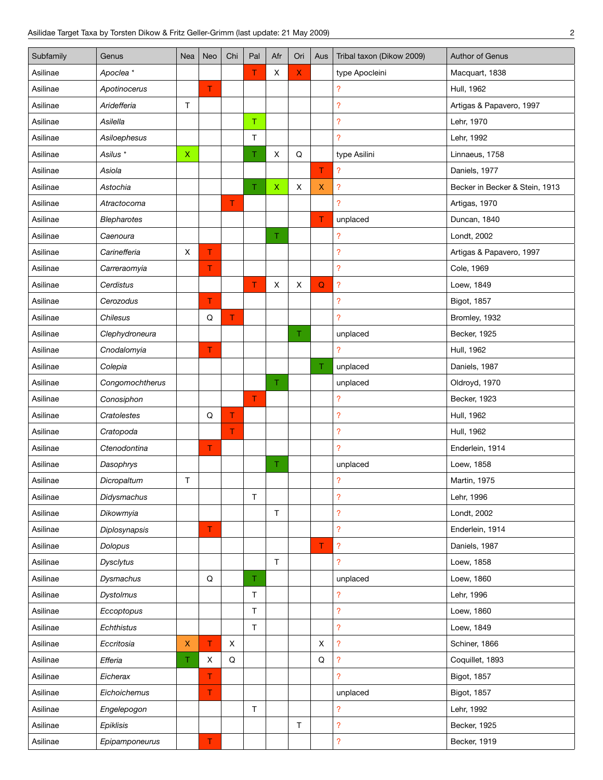| Subfamily | Genus                | <b>Nea</b>   | Neo | Chi | Pal         | Afr         | Ori | Aus                | Tribal taxon (Dikow 2009) | Author of Genus                |
|-----------|----------------------|--------------|-----|-----|-------------|-------------|-----|--------------------|---------------------------|--------------------------------|
| Asilinae  | Apoclea <sup>*</sup> |              |     |     | Τ           | X           | X.  |                    | type Apocleini            | Macquart, 1838                 |
| Asilinae  | Apotinocerus         |              | T   |     |             |             |     |                    | ?                         | Hull, 1962                     |
| Asilinae  | Aridefferia          | Τ            |     |     |             |             |     |                    | ?                         | Artigas & Papavero, 1997       |
| Asilinae  | Asilella             |              |     |     | $\top$      |             |     |                    | $\overline{\mathcal{E}}$  | Lehr, 1970                     |
| Asilinae  | Asiloephesus         |              |     |     | $\mathsf T$ |             |     |                    | ?                         | Lehr, 1992                     |
| Asilinae  | Asilus *             | $\mathsf X$  |     |     | Τ           | X           | Q   |                    | type Asilini              | Linnaeus, 1758                 |
| Asilinae  | Asiola               |              |     |     |             |             |     | T                  | $\overline{\mathcal{E}}$  | Daniels, 1977                  |
| Asilinae  | Astochia             |              |     |     | T           | $\mathsf X$ | Χ   | $\pmb{\mathsf{X}}$ | ?                         | Becker in Becker & Stein, 1913 |
| Asilinae  | Atractocoma          |              |     | T   |             |             |     |                    | <sup>2</sup>              | Artigas, 1970                  |
| Asilinae  | <b>Blepharotes</b>   |              |     |     |             |             |     | T                  | unplaced                  | Duncan, 1840                   |
| Asilinae  | Caenoura             |              |     |     |             | Τ.          |     |                    | ?                         | Londt, 2002                    |
| Asilinae  | Carinefferia         | X            | т   |     |             |             |     |                    | $\overline{?}$            | Artigas & Papavero, 1997       |
| Asilinae  | Carreraomyia         |              | Τ   |     |             |             |     |                    | ?                         | Cole, 1969                     |
| Asilinae  | Cerdistus            |              |     |     | T           | X           | Х   | $\mathsf Q$        | ?                         | Loew, 1849                     |
| Asilinae  | Cerozodus            |              | T   |     |             |             |     |                    | ?                         | Bigot, 1857                    |
| Asilinae  | Chilesus             |              | Q   | T.  |             |             |     |                    | $\overline{?}$            | Bromley, 1932                  |
| Asilinae  | Clephydroneura       |              |     |     |             |             | Τ   |                    | unplaced                  | Becker, 1925                   |
| Asilinae  | Cnodalomyia          |              | T   |     |             |             |     |                    | ?                         | Hull, 1962                     |
| Asilinae  | Colepia              |              |     |     |             |             |     | Τ                  | unplaced                  | Daniels, 1987                  |
| Asilinae  | Congomochtherus      |              |     |     |             | Τ.          |     |                    | unplaced                  | Oldroyd, 1970                  |
| Asilinae  | Conosiphon           |              |     |     | T           |             |     |                    | ?                         | Becker, 1923                   |
| Asilinae  | Cratolestes          |              | Q   | T.  |             |             |     |                    | $\overline{\mathcal{E}}$  | Hull, 1962                     |
| Asilinae  | Cratopoda            |              |     | T.  |             |             |     |                    | ?                         | Hull, 1962                     |
| Asilinae  | Ctenodontina         |              | Τ   |     |             |             |     |                    | ?                         | Enderlein, 1914                |
| Asilinae  | Dasophrys            |              |     |     |             | Τ.          |     |                    | unplaced                  | Loew, 1858                     |
| Asilinae  | Dicropaltum          | T            |     |     |             |             |     |                    | ?                         | Martin, 1975                   |
| Asilinae  | Didysmachus          |              |     |     | $\mathsf T$ |             |     |                    | ?                         | Lehr, 1996                     |
| Asilinae  | Dikowmyia            |              |     |     |             | $\top$      |     |                    | ?                         | Londt, 2002                    |
| Asilinae  | Diplosynapsis        |              | T   |     |             |             |     |                    | ?                         | Enderlein, 1914                |
| Asilinae  | Dolopus              |              |     |     |             |             |     | T                  | ?                         | Daniels, 1987                  |
| Asilinae  | Dysclytus            |              |     |     |             | $\top$      |     |                    | <sup>2</sup>              | Loew, 1858                     |
| Asilinae  | Dysmachus            |              | Q   |     | $\mathsf T$ |             |     |                    | unplaced                  | Loew, 1860                     |
| Asilinae  | Dystolmus            |              |     |     | $\top$      |             |     |                    | ?                         | Lehr, 1996                     |
| Asilinae  | Eccoptopus           |              |     |     | $\mathsf T$ |             |     |                    | ?                         | Loew, 1860                     |
| Asilinae  | Echthistus           |              |     |     | $\mathsf T$ |             |     |                    | $\overline{?}$            | Loew, 1849                     |
| Asilinae  | Eccritosia           | $\mathsf{X}$ | T   | X   |             |             |     | X                  | ?                         | Schiner, 1866                  |
| Asilinae  | Efferia              | T.           | X   | Q   |             |             |     | Q                  | ?                         | Coquillet, 1893                |
| Asilinae  | Eicherax             |              | T.  |     |             |             |     |                    | 2                         | Bigot, 1857                    |
| Asilinae  | Eichoichemus         |              | T.  |     |             |             |     |                    | unplaced                  | Bigot, 1857                    |
| Asilinae  | Engelepogon          |              |     |     | $\mathsf T$ |             |     |                    | $\overline{\mathcal{E}}$  | Lehr, 1992                     |
| Asilinae  | Epiklisis            |              |     |     |             |             | T   |                    | <sup>2</sup>              | Becker, 1925                   |
| Asilinae  | Epipamponeurus       |              | T.  |     |             |             |     |                    | ?                         | Becker, 1919                   |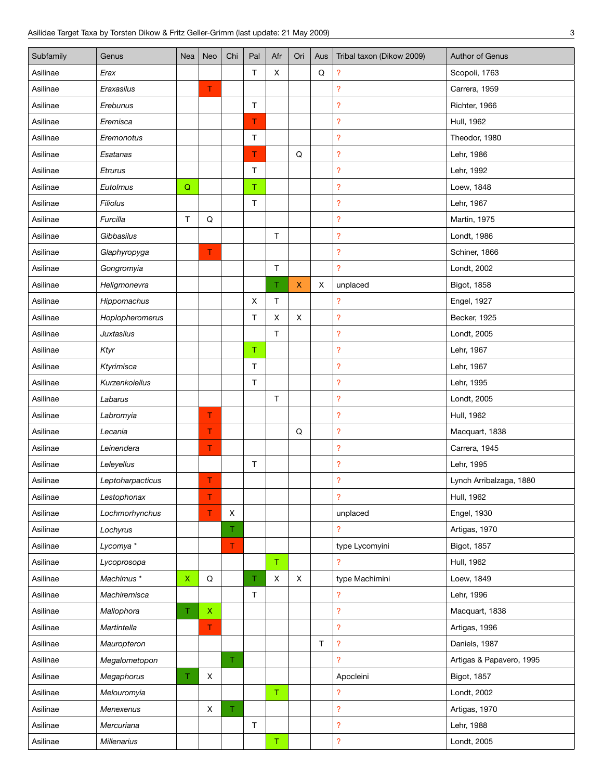| Subfamily | Genus                 | Nea         | Neo                                    | Chi         | Pal         | Afr            | Ori         | Aus | Tribal taxon (Dikow 2009) | Author of Genus          |
|-----------|-----------------------|-------------|----------------------------------------|-------------|-------------|----------------|-------------|-----|---------------------------|--------------------------|
| Asilinae  | Erax                  |             |                                        |             | $\mathsf T$ | X              |             | Q   | ?                         | Scopoli, 1763            |
| Asilinae  | Eraxasilus            |             | T                                      |             |             |                |             |     | <sup>2</sup>              | Carrera, 1959            |
| Asilinae  | Erebunus              |             |                                        |             | $\top$      |                |             |     | $\overline{\mathcal{E}}$  | Richter, 1966            |
| Asilinae  | Eremisca              |             |                                        |             | T           |                |             |     | $\overline{\mathcal{E}}$  | Hull, 1962               |
| Asilinae  | Eremonotus            |             |                                        |             | $\top$      |                |             |     | $\overline{\mathcal{E}}$  | Theodor, 1980            |
| Asilinae  | Esatanas              |             |                                        |             | T           |                | Q           |     | $\overline{\mathcal{E}}$  | Lehr, 1986               |
| Asilinae  | Etrurus               |             |                                        |             | $\top$      |                |             |     | $\overline{\mathcal{E}}$  | Lehr, 1992               |
| Asilinae  | Eutolmus              | $\mathsf Q$ |                                        |             | $\top$      |                |             |     | $\overline{?}$            | Loew, 1848               |
| Asilinae  | <b>Filiolus</b>       |             |                                        |             | $\top$      |                |             |     | $\overline{\mathcal{E}}$  | Lehr, 1967               |
| Asilinae  | Furcilla              | T           | $\mathsf Q$                            |             |             |                |             |     | $\overline{?}$            | Martin, 1975             |
| Asilinae  | Gibbasilus            |             |                                        |             |             | $\top$         |             |     | ?                         | Londt, 1986              |
| Asilinae  | Glaphyropyga          |             | T.                                     |             |             |                |             |     | $\overline{\mathcal{E}}$  | Schiner, 1866            |
| Asilinae  | Gongromyia            |             |                                        |             |             | $\top$         |             |     | $\overline{?}$            | Londt, 2002              |
| Asilinae  | Heligmonevra          |             |                                        |             |             | T.             | X.          | х   | unplaced                  | Bigot, 1858              |
| Asilinae  | Hippomachus           |             |                                        |             | X           | $\sf T$        |             |     | ?                         | Engel, 1927              |
| Asilinae  | Hoplopheromerus       |             |                                        |             | $\mathsf T$ | X              | X           |     | $\overline{\mathcal{E}}$  | Becker, 1925             |
| Asilinae  | <b>Juxtasilus</b>     |             |                                        |             |             | $\mathsf T$    |             |     | $\overline{\mathcal{E}}$  | Londt, 2005              |
| Asilinae  | Ktyr                  |             |                                        |             | $\mathsf T$ |                |             |     | ?                         | Lehr, 1967               |
| Asilinae  | Ktyrimisca            |             |                                        |             | $\mathsf T$ |                |             |     | ?                         | Lehr, 1967               |
| Asilinae  | Kurzenkoiellus        |             |                                        |             | $\top$      |                |             |     | $\overline{\mathcal{E}}$  | Lehr, 1995               |
| Asilinae  | Labarus               |             |                                        |             |             | T              |             |     | $\overline{\mathcal{E}}$  | Londt, 2005              |
| Asilinae  | Labromyia             |             | T.                                     |             |             |                |             |     | $\overline{\mathcal{E}}$  | Hull, 1962               |
| Asilinae  | Lecania               |             | T                                      |             |             |                | $\mathsf Q$ |     | $\overline{\mathcal{E}}$  | Macquart, 1838           |
| Asilinae  | Leinendera            |             | Τ                                      |             |             |                |             |     | $\overline{\mathcal{E}}$  | Carrera, 1945            |
| Asilinae  | Leleyellus            |             |                                        |             | $\mathsf T$ |                |             |     | $\overline{\mathcal{E}}$  | Lehr, 1995               |
| Asilinae  | Leptoharpacticus      |             | T                                      |             |             |                |             |     | $\overline{\mathcal{E}}$  | Lynch Arribalzaga, 1880  |
| Asilinae  | Lestophonax           |             | Τ                                      |             |             |                |             |     | $\overline{\mathcal{E}}$  | Hull, 1962               |
| Asilinae  | Lochmorhynchus        |             | T                                      | X           |             |                |             |     | unplaced                  | Engel, 1930              |
| Asilinae  | Lochyrus              |             |                                        | Τ.          |             |                |             |     | $\overline{?}$            | Artigas, 1970            |
| Asilinae  | Lycomya *             |             |                                        | $\mathsf T$ |             |                |             |     | type Lycomyini            | Bigot, 1857              |
| Asilinae  | Lycoprosopa           |             |                                        |             |             | $\mathsf T$    |             |     | 2                         | Hull, 1962               |
| Asilinae  | Machimus <sup>*</sup> | $\mathsf X$ | $\mathsf Q$                            |             | T           | $\pmb{\times}$ | X           |     | type Machimini            | Loew, 1849               |
| Asilinae  | Machiremisca          |             |                                        |             | T           |                |             |     | ?                         | Lehr, 1996               |
| Asilinae  | Mallophora            | T.          | $\mathsf{X}^{\scriptscriptstyle \top}$ |             |             |                |             |     | ?                         | Macquart, 1838           |
| Asilinae  | Martintella           |             | T.                                     |             |             |                |             |     | $\overline{\mathcal{E}}$  | Artigas, 1996            |
| Asilinae  | Mauropteron           |             |                                        |             |             |                |             | T   | $\overline{\mathcal{C}}$  | Daniels, 1987            |
| Asilinae  | Megalometopon         |             |                                        | T.          |             |                |             |     | ?                         | Artigas & Papavero, 1995 |
| Asilinae  | Megaphorus            | T.          | X                                      |             |             |                |             |     | Apocleini                 | Bigot, 1857              |
| Asilinae  | Melouromyia           |             |                                        |             |             | $\mathsf T$    |             |     | ?                         | Londt, 2002              |
| Asilinae  | Menexenus             |             | $\mathsf X$                            | T           |             |                |             |     | $\overline{\mathcal{E}}$  | Artigas, 1970            |
| Asilinae  | Mercuriana            |             |                                        |             | $\top$      |                |             |     | ?                         | Lehr, 1988               |
| Asilinae  | <b>Millenarius</b>    |             |                                        |             |             | $\mathsf T$    |             |     | $\overline{\mathcal{E}}$  | Londt, 2005              |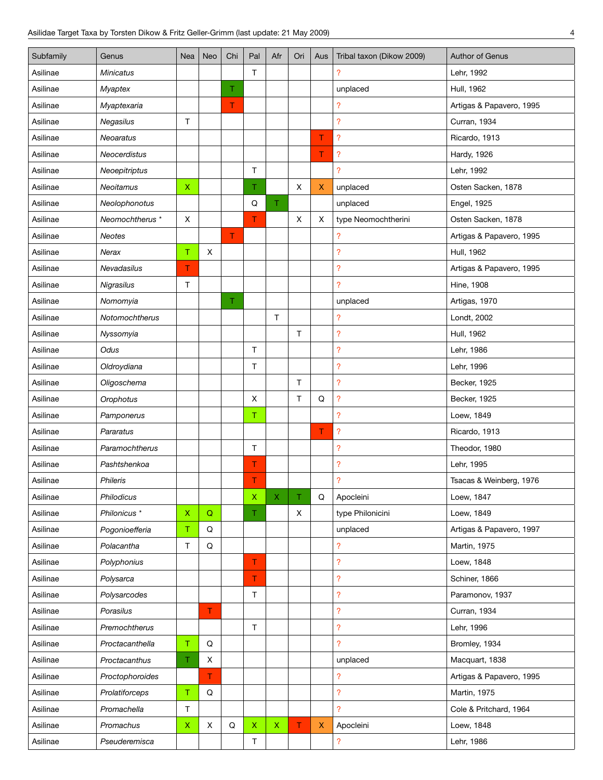| Subfamily | Genus                   | Nea         | Neo         | Chi | Pal          | Afr          | Ori    | Aus       | Tribal taxon (Dikow 2009)  | Author of Genus          |
|-----------|-------------------------|-------------|-------------|-----|--------------|--------------|--------|-----------|----------------------------|--------------------------|
| Asilinae  | <b>Minicatus</b>        |             |             |     | $\mathsf{T}$ |              |        |           | ?                          | Lehr, 1992               |
| Asilinae  | <b>Myaptex</b>          |             |             | Τ   |              |              |        |           | unplaced                   | Hull, 1962               |
| Asilinae  | Myaptexaria             |             |             | T   |              |              |        |           | ?                          | Artigas & Papavero, 1995 |
| Asilinae  | Negasilus               | Τ           |             |     |              |              |        |           | $\overline{\mathcal{C}}$   | Curran, 1934             |
| Asilinae  | Neoaratus               |             |             |     |              |              |        | T         | $\boldsymbol{\mathcal{P}}$ | Ricardo, 1913            |
| Asilinae  | Neocerdistus            |             |             |     |              |              |        | T         | $\boldsymbol{\mathcal{P}}$ | Hardy, 1926              |
| Asilinae  | Neoepitriptus           |             |             |     | $\mathsf{T}$ |              |        |           | $\overline{?}$             | Lehr, 1992               |
| Asilinae  | Neoitamus               | $\mathsf X$ |             |     | Τ.           |              | X      | X         | unplaced                   | Osten Sacken, 1878       |
| Asilinae  | Neolophonotus           |             |             |     | Q            | T.           |        |           | unplaced                   | Engel, 1925              |
| Asilinae  | Neomochtherus *         | X           |             |     | T            |              | X      | X         | type Neomochtherini        | Osten Sacken, 1878       |
| Asilinae  | <b>Neotes</b>           |             |             | T.  |              |              |        |           | $\overline{\phantom{a}}$   | Artigas & Papavero, 1995 |
| Asilinae  | Nerax                   | T           | X           |     |              |              |        |           | $\overline{?}$             | Hull, 1962               |
| Asilinae  | Nevadasilus             | T           |             |     |              |              |        |           | $\overline{\phantom{a}}$   | Artigas & Papavero, 1995 |
| Asilinae  | Nigrasilus              | T           |             |     |              |              |        |           | $\overline{?}$             | <b>Hine, 1908</b>        |
| Asilinae  | Nomomyia                |             |             | T   |              |              |        |           | unplaced                   | Artigas, 1970            |
| Asilinae  | Notomochtherus          |             |             |     |              | $\mathsf{T}$ |        |           | $\overline{\phantom{a}}$   | Londt, 2002              |
| Asilinae  | Nyssomyia               |             |             |     |              |              | $\top$ |           | $\overline{\mathcal{C}}$   | Hull, 1962               |
| Asilinae  | Odus                    |             |             |     | $\mathsf{T}$ |              |        |           | $\overline{?}$             | Lehr, 1986               |
| Asilinae  | Oldroydiana             |             |             |     | T            |              |        |           | ?                          | Lehr, 1996               |
| Asilinae  | Oligoschema             |             |             |     |              |              | $\top$ |           | $\overline{\mathcal{C}}$   | Becker, 1925             |
| Asilinae  | Orophotus               |             |             |     | X            |              | T      | Q         | $\overline{\mathcal{L}}$   | Becker, 1925             |
| Asilinae  | Pamponerus              |             |             |     | $\mathsf T$  |              |        |           | $\overline{?}$             | Loew, 1849               |
| Asilinae  | Pararatus               |             |             |     |              |              |        | T         | $\overline{\mathcal{L}}$   | Ricardo, 1913            |
| Asilinae  | Paramochtherus          |             |             |     | $\top$       |              |        |           | $\overline{\mathcal{E}}$   | Theodor, 1980            |
| Asilinae  | Pashtshenkoa            |             |             |     | T            |              |        |           | $\overline{\mathcal{L}}$   | Lehr, 1995               |
| Asilinae  | <b>Phileris</b>         |             |             |     | T.           |              |        |           | $\overline{\mathcal{L}}$   | Tsacas & Weinberg, 1976  |
| Asilinae  | Philodicus              |             |             |     | $\mathsf X$  | Χ            |        | ${\sf Q}$ | Apocleini                  | Loew, 1847               |
| Asilinae  | Philonicus <sup>*</sup> | $\mathsf X$ | $\mathsf Q$ |     | Τ.           |              | X      |           | type Philonicini           | Loew, 1849               |
| Asilinae  | Pogonioefferia          | T.          | Q           |     |              |              |        |           | unplaced                   | Artigas & Papavero, 1997 |
| Asilinae  | Polacantha              | T           | Q           |     |              |              |        |           | $\overline{?}$             | Martin, 1975             |
| Asilinae  | Polyphonius             |             |             |     | T            |              |        |           | $\overline{\mathcal{L}}$   | Loew, 1848               |
| Asilinae  | Polysarca               |             |             |     | T.           |              |        |           | $\overline{\mathcal{E}}$   | Schiner, 1866            |
| Asilinae  | Polysarcodes            |             |             |     | $\top$       |              |        |           | $\overline{\mathcal{E}}$   | Paramonov, 1937          |
| Asilinae  | Porasilus               |             | T           |     |              |              |        |           | $\overline{\mathcal{E}}$   | Curran, 1934             |
| Asilinae  | Premochtherus           |             |             |     | $\top$       |              |        |           | $\overline{?}$             | Lehr, 1996               |
| Asilinae  | Proctacanthella         | T           | $\mathsf Q$ |     |              |              |        |           | $\overline{?}$             | Bromley, 1934            |
| Asilinae  | Proctacanthus           | T.          | X           |     |              |              |        |           | unplaced                   | Macquart, 1838           |
| Asilinae  | Proctophoroides         |             | T.          |     |              |              |        |           | ?                          | Artigas & Papavero, 1995 |
| Asilinae  | Prolatiforceps          | $\mathsf T$ | Q           |     |              |              |        |           | $\overline{?}$             | Martin, 1975             |
| Asilinae  | Promachella             | T           |             |     |              |              |        |           | $\overline{?}$             | Cole & Pritchard, 1964   |
| Asilinae  | Promachus               | $\mathsf X$ | X           | Q   | $\mathsf X$  | $\mathsf X$  | T      | X.        | Apocleini                  | Loew, 1848               |
| Asilinae  | Pseuderemisca           |             |             |     | T            |              |        |           | ?                          | Lehr, 1986               |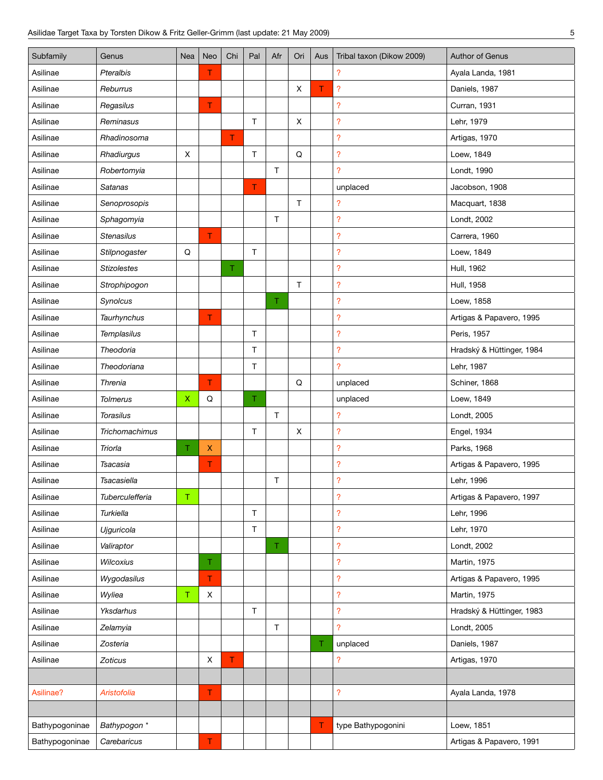| Subfamily      | Genus              | Nea         | Neo | Chi | Pal          | Afr          | Ori | Aus | Tribal taxon (Dikow 2009) | Author of Genus           |
|----------------|--------------------|-------------|-----|-----|--------------|--------------|-----|-----|---------------------------|---------------------------|
| Asilinae       | Pteralbis          |             | Τ   |     |              |              |     |     | ?                         | Ayala Landa, 1981         |
| Asilinae       | Reburrus           |             |     |     |              |              | X   | T   | ?                         | Daniels, 1987             |
| Asilinae       | Regasilus          |             | T   |     |              |              |     |     | $\overline{\mathcal{E}}$  | Curran, 1931              |
| Asilinae       | Reminasus          |             |     |     | $\mathsf{T}$ |              | X   |     | ?                         | Lehr, 1979                |
| Asilinae       | Rhadinosoma        |             |     | T.  |              |              |     |     | $\overline{\mathcal{E}}$  | Artigas, 1970             |
| Asilinae       | Rhadiurgus         | X           |     |     | $\top$       |              | Q   |     | ?                         | Loew, 1849                |
| Asilinae       | Robertomyia        |             |     |     |              | T.           |     |     | $\overline{?}$            | Londt, 1990               |
| Asilinae       | Satanas            |             |     |     | T            |              |     |     | unplaced                  | Jacobson, 1908            |
| Asilinae       | Senoprosopis       |             |     |     |              |              | T   |     | ?                         | Macquart, 1838            |
| Asilinae       | Sphagomyia         |             |     |     |              | $\mathsf{T}$ |     |     | $\overline{\mathcal{E}}$  | Londt, 2002               |
| Asilinae       | <b>Stenasilus</b>  |             | T.  |     |              |              |     |     | $\overline{\mathcal{E}}$  | Carrera, 1960             |
| Asilinae       | Stilpnogaster      | Q           |     |     | $\top$       |              |     |     | ?                         | Loew, 1849                |
| Asilinae       | <b>Stizolestes</b> |             |     | T.  |              |              |     |     | $\overline{\mathcal{E}}$  | Hull, 1962                |
| Asilinae       | Strophipogon       |             |     |     |              |              | T.  |     | ?                         | Hull, 1958                |
| Asilinae       | Synolcus           |             |     |     |              | Τ.           |     |     | $\overline{\mathcal{E}}$  | Loew, 1858                |
| Asilinae       | Taurhynchus        |             | T   |     |              |              |     |     | ?                         | Artigas & Papavero, 1995  |
| Asilinae       | Templasilus        |             |     |     | $\top$       |              |     |     | $\overline{\mathcal{E}}$  | Peris, 1957               |
| Asilinae       | Theodoria          |             |     |     | T.           |              |     |     | ?                         | Hradský & Hüttinger, 1984 |
| Asilinae       | Theodoriana        |             |     |     | $\top$       |              |     |     | $\overline{?}$            | Lehr, 1987                |
| Asilinae       | Threnia            |             | T.  |     |              |              | Q   |     | unplaced                  | Schiner, 1868             |
| Asilinae       | <b>Tolmerus</b>    | $\mathsf X$ | Q   |     | T            |              |     |     | unplaced                  | Loew, 1849                |
| Asilinae       | <b>Torasilus</b>   |             |     |     |              | $\top$       |     |     | $\overline{\mathcal{E}}$  | Londt, 2005               |
| Asilinae       | Trichomachimus     |             |     |     | $\top$       |              | X   |     | $\overline{\mathcal{E}}$  | Engel, 1934               |
| Asilinae       | Triorla            | T.          | X   |     |              |              |     |     | $\overline{\mathcal{E}}$  | Parks, 1968               |
| Asilinae       | Tsacasia           |             | T   |     |              |              |     |     | $\overline{\mathcal{E}}$  | Artigas & Papavero, 1995  |
| Asilinae       | Tsacasiella        |             |     |     |              | Τ            |     |     | $\overline{\mathcal{E}}$  | Lehr, 1996                |
| Asilinae       | Tuberculefferia    | T.          |     |     |              |              |     |     | ?                         | Artigas & Papavero, 1997  |
| Asilinae       | Turkiella          |             |     |     | $\mathsf{T}$ |              |     |     | $\overline{\mathcal{E}}$  | Lehr, 1996                |
| Asilinae       | Ujguricola         |             |     |     | $\mathsf T$  |              |     |     | ?                         | Lehr, 1970                |
| Asilinae       | Valiraptor         |             |     |     |              | T.           |     |     | $\overline{\mathcal{E}}$  | Londt, 2002               |
| Asilinae       | <b>Wilcoxius</b>   |             | T   |     |              |              |     |     | $\overline{?}$            | Martin, 1975              |
| Asilinae       | Wygodasilus        |             | T.  |     |              |              |     |     | $\overline{\mathcal{C}}$  | Artigas & Papavero, 1995  |
| Asilinae       | Wyliea             | T           | X   |     |              |              |     |     | $\overline{?}$            | Martin, 1975              |
| Asilinae       | Yksdarhus          |             |     |     | $\mathsf T$  |              |     |     | $\overline{\mathcal{E}}$  | Hradský & Hüttinger, 1983 |
| Asilinae       | Zelamyia           |             |     |     |              | $\top$       |     |     | ?                         | Londt, 2005               |
| Asilinae       | Zosteria           |             |     |     |              |              |     | T.  | unplaced                  | Daniels, 1987             |
| Asilinae       | Zoticus            |             | X   | T   |              |              |     |     | ?                         | Artigas, 1970             |
|                |                    |             |     |     |              |              |     |     |                           |                           |
| Asilinae?      | Aristofolia        |             | Τ   |     |              |              |     |     | $\overline{\mathcal{E}}$  | Ayala Landa, 1978         |
|                |                    |             |     |     |              |              |     |     |                           |                           |
| Bathypogoninae | Bathypogon *       |             |     |     |              |              |     | т   | type Bathypogonini        | Loew, 1851                |
| Bathypogoninae | Carebaricus        |             | T   |     |              |              |     |     |                           | Artigas & Papavero, 1991  |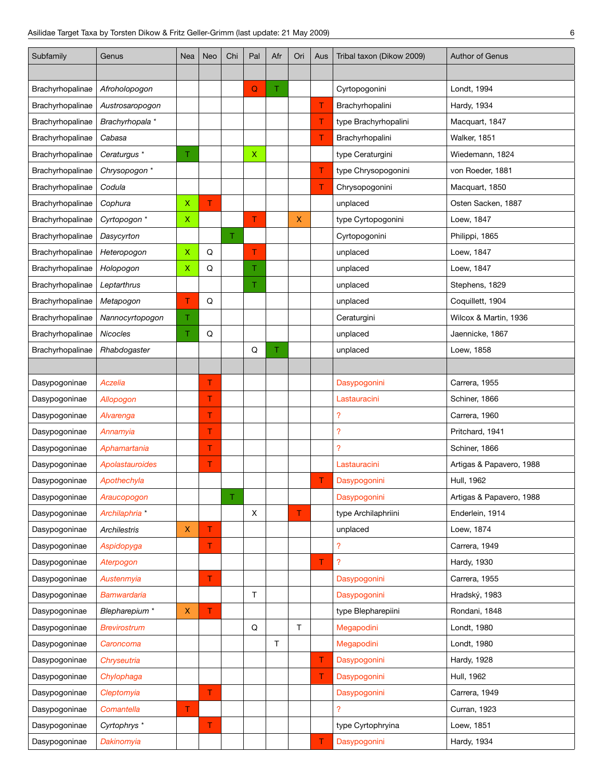| Subfamily        | Genus                   | <b>Nea</b>     | Neo | Chi | Pal         | Afr | Ori | Aus | Tribal taxon (Dikow 2009) | <b>Author of Genus</b>   |
|------------------|-------------------------|----------------|-----|-----|-------------|-----|-----|-----|---------------------------|--------------------------|
|                  |                         |                |     |     |             |     |     |     |                           |                          |
| Brachyrhopalinae | Afroholopogon           |                |     |     | $\mathbf Q$ | T.  |     |     | Cyrtopogonini             | Londt, 1994              |
| Brachyrhopalinae | Austrosaropogon         |                |     |     |             |     |     | т   | Brachyrhopalini           | Hardy, 1934              |
| Brachyrhopalinae | Brachyrhopala *         |                |     |     |             |     |     | т   | type Brachyrhopalini      | Macquart, 1847           |
| Brachyrhopalinae | Cabasa                  |                |     |     |             |     |     | T   | Brachyrhopalini           | Walker, 1851             |
| Brachyrhopalinae | Ceraturgus *            | T.             |     |     | $\mathsf X$ |     |     |     | type Ceraturgini          | Wiedemann, 1824          |
| Brachyrhopalinae | Chrysopogon *           |                |     |     |             |     |     | T   | type Chrysopogonini       | von Roeder, 1881         |
| Brachyrhopalinae | Codula                  |                |     |     |             |     |     | T   | Chrysopogonini            | Macquart, 1850           |
| Brachyrhopalinae | Cophura                 | $\pmb{\times}$ | T   |     |             |     |     |     | unplaced                  | Osten Sacken, 1887       |
| Brachyrhopalinae | Cyrtopogon *            | Χ              |     |     | T           |     | X.  |     | type Cyrtopogonini        | Loew, 1847               |
| Brachyrhopalinae | Dasycyrton              |                |     | T.  |             |     |     |     | Cyrtopogonini             | Philippi, 1865           |
| Brachyrhopalinae | Heteropogon             | X              | Q   |     | Τ           |     |     |     | unplaced                  | Loew, 1847               |
| Brachyrhopalinae | Holopogon               | Χ              | Q   |     | Τ.          |     |     |     | unplaced                  | Loew, 1847               |
| Brachyrhopalinae | Leptarthrus             |                |     |     | Τ           |     |     |     | unplaced                  | Stephens, 1829           |
| Brachyrhopalinae | Metapogon               | т              | Q   |     |             |     |     |     | unplaced                  | Coquillett, 1904         |
| Brachyrhopalinae | Nannocyrtopogon         | T.             |     |     |             |     |     |     | Ceraturgini               | Wilcox & Martin, 1936    |
| Brachyrhopalinae | <b>Nicocles</b>         | Τ              | Q   |     |             |     |     |     | unplaced                  | Jaennicke, 1867          |
| Brachyrhopalinae | Rhabdogaster            |                |     |     | Q           | T.  |     |     | unplaced                  | Loew, 1858               |
|                  |                         |                |     |     |             |     |     |     |                           |                          |
| Dasypogoninae    | Aczelia                 |                | Τ   |     |             |     |     |     | Dasypogonini              | Carrera, 1955            |
| Dasypogoninae    | Allopogon               |                | T.  |     |             |     |     |     | Lastauracini              | Schiner, 1866            |
| Dasypogoninae    | Alvarenga               |                | Τ   |     |             |     |     |     | $\overline{\mathcal{E}}$  | Carrera, 1960            |
| Dasypogoninae    | Annamyia                |                | T   |     |             |     |     |     | $\overline{\mathcal{E}}$  | Pritchard, 1941          |
| Dasypogoninae    | Aphamartania            |                | T   |     |             |     |     |     | $\overline{?}$            | Schiner, 1866            |
| Dasypogoninae    | Apolastauroides         |                | Τ   |     |             |     |     |     | Lastauracini              | Artigas & Papavero, 1988 |
| Dasypogoninae    | Apothechyla             |                |     |     |             |     |     | Τ   | Dasypogonini              | Hull, 1962               |
| Dasypogoninae    | Araucopogon             |                |     | т   |             |     |     |     | Dasypogonini              | Artigas & Papavero, 1988 |
| Dasypogoninae    | Archilaphria *          |                |     |     | X           |     | T   |     | type Archilaphriini       | Enderlein, 1914          |
| Dasypogoninae    | <b>Archilestris</b>     | $\mathsf X$    | T   |     |             |     |     |     | unplaced                  | Loew, 1874               |
| Dasypogoninae    | Aspidopyga              |                | T.  |     |             |     |     |     | $\overline{?}$            | Carrera, 1949            |
| Dasypogoninae    | Aterpogon               |                |     |     |             |     |     | T   | $\overline{?}$            | Hardy, 1930              |
| Dasypogoninae    | Austenmyia              |                | T.  |     |             |     |     |     | Dasypogonini              | Carrera, 1955            |
| Dasypogoninae    | <b>Bamwardaria</b>      |                |     |     | $\top$      |     |     |     | Dasypogonini              | Hradský, 1983            |
| Dasypogoninae    | Blepharepium *          | X              | Τ   |     |             |     |     |     | type Blepharepiini        | Rondani, 1848            |
| Dasypogoninae    | <b>Brevirostrum</b>     |                |     |     | Q           |     | T   |     | Megapodini                | Londt, 1980              |
| Dasypogoninae    | Caroncoma               |                |     |     |             | T   |     |     | Megapodini                | Londt, 1980              |
| Dasypogoninae    | Chryseutria             |                |     |     |             |     |     | Τ   | Dasypogonini              | Hardy, 1928              |
| Dasypogoninae    | Chylophaga              |                |     |     |             |     |     | Τ   | Dasypogonini              | Hull, 1962               |
| Dasypogoninae    | Cleptomyia              |                | T   |     |             |     |     |     | Dasypogonini              | Carrera, 1949            |
| Dasypogoninae    | Comantella              | T              |     |     |             |     |     |     | $\overline{?}$            | <b>Curran, 1923</b>      |
| Dasypogoninae    | Cyrtophrys <sup>*</sup> |                | T.  |     |             |     |     |     | type Cyrtophryina         | Loew, 1851               |
| Dasypogoninae    | Dakinomyia              |                |     |     |             |     |     | Τ   | Dasypogonini              | Hardy, 1934              |
|                  |                         |                |     |     |             |     |     |     |                           |                          |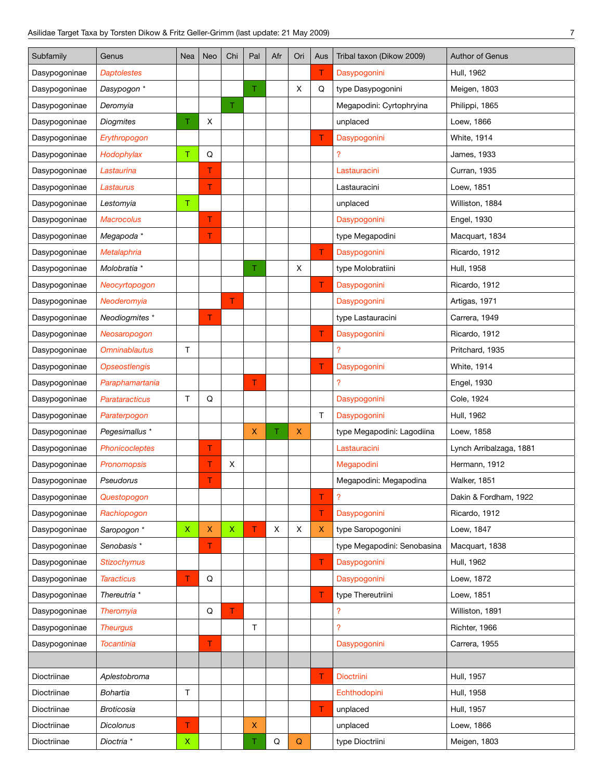| Subfamily     | Genus                   | Nea          | Neo                | Chi         | Pal | Afr | Ori          | Aus                | Tribal taxon (Dikow 2009)   | <b>Author of Genus</b>  |
|---------------|-------------------------|--------------|--------------------|-------------|-----|-----|--------------|--------------------|-----------------------------|-------------------------|
| Dasypogoninae | <b>Daptolestes</b>      |              |                    |             |     |     |              | Τ                  | Dasypogonini                | Hull, 1962              |
| Dasypogoninae | Dasypogon *             |              |                    |             | Τ   |     | X            | Q                  | type Dasypogonini           | Meigen, 1803            |
| Dasypogoninae | Deromyia                |              |                    | T           |     |     |              |                    | Megapodini: Cyrtophryina    | Philippi, 1865          |
| Dasypogoninae | <b>Diogmites</b>        | Τ.           | Χ                  |             |     |     |              |                    | unplaced                    | Loew, 1866              |
| Dasypogoninae | Erythropogon            |              |                    |             |     |     |              | T                  | Dasypogonini                | <b>White, 1914</b>      |
| Dasypogoninae | Hodophylax              | т            | Q                  |             |     |     |              |                    | $\overline{\mathcal{L}}$    | <b>James, 1933</b>      |
| Dasypogoninae | Lastaurina              |              | т                  |             |     |     |              |                    | Lastauracini                | Curran, 1935            |
| Dasypogoninae | Lastaurus               |              | T.                 |             |     |     |              |                    | Lastauracini                | Loew, 1851              |
| Dasypogoninae | Lestomyia               | $\top$       |                    |             |     |     |              |                    | unplaced                    | Williston, 1884         |
| Dasypogoninae | <b>Macrocolus</b>       |              | т                  |             |     |     |              |                    | Dasypogonini                | Engel, 1930             |
| Dasypogoninae | Megapoda *              |              | т                  |             |     |     |              |                    | type Megapodini             | Macquart, 1834          |
| Dasypogoninae | <b>Metalaphria</b>      |              |                    |             |     |     |              | T.                 | Dasypogonini                | Ricardo, 1912           |
| Dasypogoninae | Molobratia *            |              |                    |             | T.  |     | X            |                    | type Molobratiini           | Hull, 1958              |
| Dasypogoninae | Neocyrtopogon           |              |                    |             |     |     |              | T                  | Dasypogonini                | Ricardo, 1912           |
| Dasypogoninae | Neoderomyia             |              |                    | T.          |     |     |              |                    | Dasypogonini                | Artigas, 1971           |
| Dasypogoninae | Neodiogmites *          |              | T                  |             |     |     |              |                    | type Lastauracini           | Carrera, 1949           |
| Dasypogoninae | Neosaropogon            |              |                    |             |     |     |              | Τ                  | Dasypogonini                | Ricardo, 1912           |
| Dasypogoninae | <b>Omninablautus</b>    | T            |                    |             |     |     |              |                    | ?                           | Pritchard, 1935         |
| Dasypogoninae | <b>Opseostlengis</b>    |              |                    |             |     |     |              | T                  | Dasypogonini                | <b>White, 1914</b>      |
| Dasypogoninae | Paraphamartania         |              |                    |             | т   |     |              |                    | $\overline{?}$              | Engel, 1930             |
| Dasypogoninae | Parataracticus          | T            | Q                  |             |     |     |              |                    | Dasypogonini                | Cole, 1924              |
| Dasypogoninae | Paraterpogon            |              |                    |             |     |     |              | $\top$             | Dasypogonini                | Hull, 1962              |
| Dasypogoninae | Pegesimallus *          |              |                    |             | X   | т   | $\mathsf{X}$ |                    | type Megapodini: Lagodiina  | Loew, 1858              |
| Dasypogoninae | Phonicocleptes          |              | T                  |             |     |     |              |                    | Lastauracini                | Lynch Arribalzaga, 1881 |
| Dasypogoninae | <b>Pronomopsis</b>      |              | т                  | X           |     |     |              |                    | Megapodini                  | Hermann, 1912           |
| Dasypogoninae | Pseudorus               |              | т                  |             |     |     |              |                    | Megapodini: Megapodina      | Walker, 1851            |
| Dasypogoninae | Questopogon             |              |                    |             |     |     |              | т                  | $\overline{\mathcal{L}}$    | Dakin & Fordham, 1922   |
| Dasypogoninae | Rachiopogon             |              |                    |             |     |     |              | T                  | Dasypogonini                | Ricardo, 1912           |
| Dasypogoninae | Saropogon *             | $\mathsf{X}$ | $\pmb{\mathsf{X}}$ | $\mathsf X$ | т   | X   | X            | $\pmb{\mathsf{X}}$ | type Saropogonini           | Loew, 1847              |
| Dasypogoninae | Senobasis *             |              | T.                 |             |     |     |              |                    | type Megapodini: Senobasina | Macquart, 1838          |
| Dasypogoninae | <b>Stizochymus</b>      |              |                    |             |     |     |              | T                  | Dasypogonini                | Hull, 1962              |
| Dasypogoninae | <b>Taracticus</b>       | T            | Q                  |             |     |     |              |                    | Dasypogonini                | Loew, 1872              |
| Dasypogoninae | Thereutria <sup>*</sup> |              |                    |             |     |     |              | T                  | type Thereutriini           | Loew, 1851              |
| Dasypogoninae | <b>Theromyia</b>        |              | Q                  | T           |     |     |              |                    | ?                           | Williston, 1891         |
| Dasypogoninae | <b>Theurgus</b>         |              |                    |             | T.  |     |              |                    | ?                           | Richter, 1966           |
| Dasypogoninae | <b>Tocantinia</b>       |              | T                  |             |     |     |              |                    | Dasypogonini                | Carrera, 1955           |
|               |                         |              |                    |             |     |     |              |                    |                             |                         |
| Dioctriinae   | Aplestobroma            |              |                    |             |     |     |              | Τ                  | Dioctriini                  | Hull, 1957              |
| Dioctriinae   | Bohartia                | Τ            |                    |             |     |     |              |                    | Echthodopini                | Hull, 1958              |
| Dioctriinae   | <b>Broticosia</b>       |              |                    |             |     |     |              | T                  | unplaced                    | Hull, 1957              |
| Dioctriinae   | Dicolonus               | T            |                    |             | X.  |     |              |                    | unplaced                    | Loew, 1866              |
| Dioctriinae   | Dioctria *              | X            |                    |             | т   | Q   | $\mathsf Q$  |                    | type Dioctriini             | Meigen, 1803            |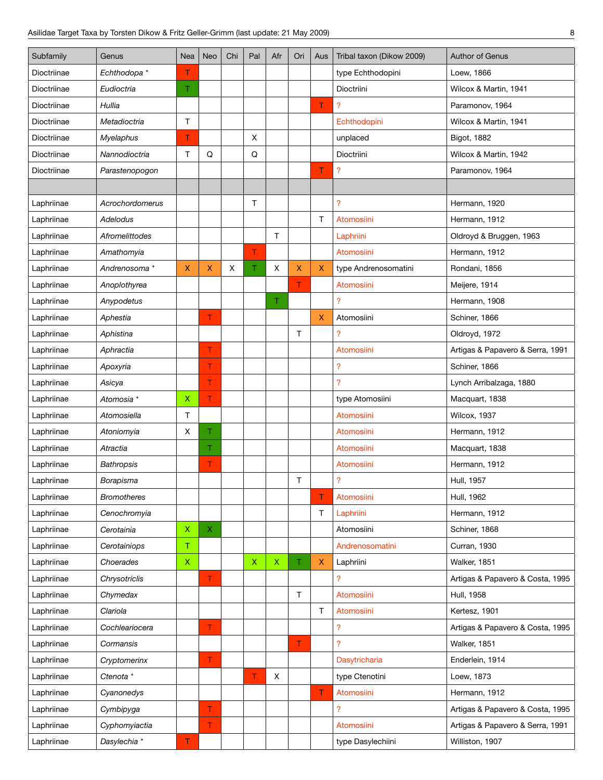| Subfamily   | Genus              | Nea         | Neo         | Chi | Pal         | Afr                | Ori    | Aus          | Tribal taxon (Dikow 2009) | Author of Genus                  |
|-------------|--------------------|-------------|-------------|-----|-------------|--------------------|--------|--------------|---------------------------|----------------------------------|
| Dioctriinae | Echthodopa *       | т           |             |     |             |                    |        |              | type Echthodopini         | Loew, 1866                       |
| Dioctriinae | Eudioctria         | T.          |             |     |             |                    |        |              | Dioctriini                | Wilcox & Martin, 1941            |
| Dioctriinae | Hullia             |             |             |     |             |                    |        | T            | ?                         | Paramonov, 1964                  |
| Dioctriinae | Metadioctria       | Τ           |             |     |             |                    |        |              | Echthodopini              | Wilcox & Martin, 1941            |
| Dioctriinae | <b>Myelaphus</b>   | т           |             |     | $\mathsf X$ |                    |        |              | unplaced                  | Bigot, 1882                      |
| Dioctriinae | Nannodioctria      | Τ           | Q           |     | Q           |                    |        |              | Dioctriini                | Wilcox & Martin, 1942            |
| Dioctriinae | Parastenopogon     |             |             |     |             |                    |        | T            | $\overline{\mathcal{L}}$  | Paramonov, 1964                  |
|             |                    |             |             |     |             |                    |        |              |                           |                                  |
| Laphriinae  | Acrochordomerus    |             |             |     | T.          |                    |        |              | $\overline{\phantom{a}}$  | Hermann, 1920                    |
| Laphriinae  | Adelodus           |             |             |     |             |                    |        | $\mathsf T$  | Atomosiini                | Hermann, 1912                    |
| Laphriinae  | Afromelittodes     |             |             |     |             | T.                 |        |              | Laphriini                 | Oldroyd & Bruggen, 1963          |
| Laphriinae  | Amathomyia         |             |             |     | T.          |                    |        |              | Atomosiini                | Hermann, 1912                    |
| Laphriinae  | Andrenosoma*       | X.          | X.          | X   | T.          | X                  | X      | $\mathsf{X}$ | type Andrenosomatini      | Rondani, 1856                    |
| Laphriinae  | Anoplothyrea       |             |             |     |             |                    | T      |              | Atomosiini                | Meijere, 1914                    |
| Laphriinae  | Anypodetus         |             |             |     |             | Τ                  |        |              | 2                         | Hermann, 1908                    |
| Laphriinae  | Aphestia           |             | T           |     |             |                    |        | $\mathsf{X}$ | Atomosiini                | Schiner, 1866                    |
| Laphriinae  | Aphistina          |             |             |     |             |                    | Τ      |              | ?                         | Oldroyd, 1972                    |
| Laphriinae  | Aphractia          |             | T           |     |             |                    |        |              | Atomosiini                | Artigas & Papavero & Serra, 1991 |
| Laphriinae  | Apoxyria           |             | T           |     |             |                    |        |              | $\overline{\mathcal{L}}$  | Schiner, 1866                    |
| Laphriinae  | Asicya             |             | T           |     |             |                    |        |              | $\overline{?}$            | Lynch Arribalzaga, 1880          |
| Laphriinae  | Atomosia *         | X.          | T.          |     |             |                    |        |              | type Atomosiini           | Macquart, 1838                   |
| Laphriinae  | Atomosiella        | T           |             |     |             |                    |        |              | Atomosiini                | Wilcox, 1937                     |
| Laphriinae  | Atoniomyia         | X           | Τ           |     |             |                    |        |              | <b>Atomosiini</b>         | Hermann, 1912                    |
| Laphriinae  | Atractia           |             | Τ           |     |             |                    |        |              | Atomosiini                | Macquart, 1838                   |
| Laphriinae  | <b>Bathropsis</b>  |             | Τ           |     |             |                    |        |              | Atomosiini                | Hermann, 1912                    |
| Laphriinae  | Borapisma          |             |             |     |             |                    | T      |              | $\overline{\phantom{a}}$  | Hull, 1957                       |
| Laphriinae  | <b>Bromotheres</b> |             |             |     |             |                    |        | T            | Atomosiini                | Hull, 1962                       |
| Laphriinae  | Cenochromyia       |             |             |     |             |                    |        | $\mathsf T$  | Laphriini                 | Hermann, 1912                    |
| Laphriinae  | Cerotainia         | Χ           | $\mathsf X$ |     |             |                    |        |              | Atomosiini                | Schiner, 1868                    |
| Laphriinae  | Cerotainiops       | Τ           |             |     |             |                    |        |              | Andrenosomatini           | Curran, 1930                     |
| Laphriinae  | Choerades          | $\mathsf X$ |             |     | $\mathsf X$ | $\pmb{\mathsf{X}}$ | T.     | X            | Laphriini                 | Walker, 1851                     |
| Laphriinae  | Chrysotriclis      |             | T           |     |             |                    |        |              | ?                         | Artigas & Papavero & Costa, 1995 |
| Laphriinae  | Chymedax           |             |             |     |             |                    | $\top$ |              | Atomosiini                | <b>Hull, 1958</b>                |
| Laphriinae  | Clariola           |             |             |     |             |                    |        | Τ            | Atomosiini                | Kertesz, 1901                    |
| Laphriinae  | Cochleariocera     |             | T           |     |             |                    |        |              | ?                         | Artigas & Papavero & Costa, 1995 |
| Laphriinae  | Cormansis          |             |             |     |             |                    | T      |              | 2                         | Walker, 1851                     |
| Laphriinae  | Cryptomerinx       |             | T           |     |             |                    |        |              | Dasytricharia             | Enderlein, 1914                  |
| Laphriinae  | Ctenota *          |             |             |     | Τ           | X                  |        |              | type Ctenotini            | Loew, 1873                       |
| Laphriinae  | Cyanonedys         |             |             |     |             |                    |        | Τ            | Atomosiini                | Hermann, 1912                    |
| Laphriinae  | Cymbipyga          |             | T           |     |             |                    |        |              | 2                         | Artigas & Papavero & Costa, 1995 |
| Laphriinae  | Cyphomyiactia      |             | T.          |     |             |                    |        |              | Atomosiini                | Artigas & Papavero & Serra, 1991 |
| Laphriinae  | Dasylechia *       | T.          |             |     |             |                    |        |              | type Dasylechiini         | Williston, 1907                  |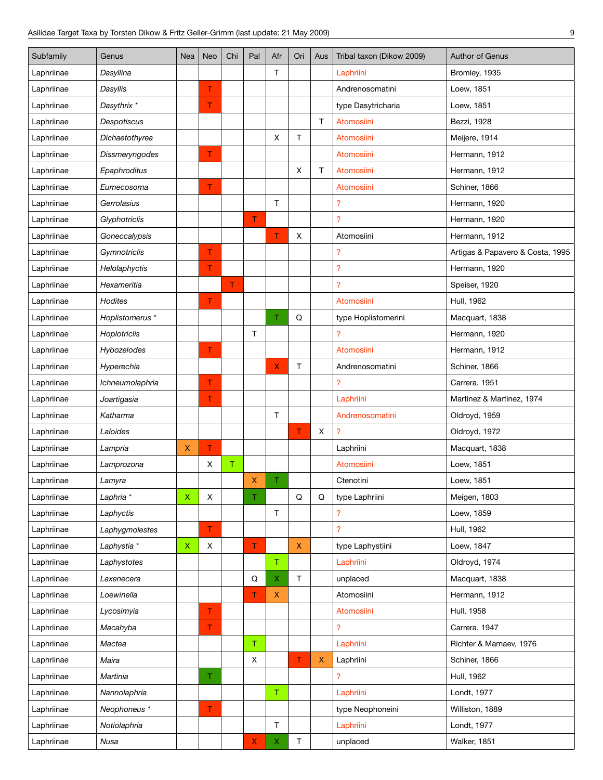| Subfamily  | Genus           | Nea         | Neo | Chi    | Pal         | Afr          | Ori         | Aus                | Tribal taxon (Dikow 2009) | <b>Author of Genus</b>           |
|------------|-----------------|-------------|-----|--------|-------------|--------------|-------------|--------------------|---------------------------|----------------------------------|
| Laphriinae | Dasyllina       |             |     |        |             | т            |             |                    | Laphriini                 | Bromley, 1935                    |
| Laphriinae | Dasyllis        |             | T   |        |             |              |             |                    | Andrenosomatini           | Loew, 1851                       |
| Laphriinae | Dasythrix *     |             | T   |        |             |              |             |                    | type Dasytricharia        | Loew, 1851                       |
| Laphriinae | Despotiscus     |             |     |        |             |              |             | Τ                  | Atomosiini                | Bezzi, 1928                      |
| Laphriinae | Dichaetothyrea  |             |     |        |             | X            | Τ           |                    | Atomosiini                | Meijere, 1914                    |
| Laphriinae | Dissmeryngodes  |             | т   |        |             |              |             |                    | Atomosiini                | Hermann, 1912                    |
| Laphriinae | Epaphroditus    |             |     |        |             |              | X           | T                  | Atomosiini                | Hermann, 1912                    |
| Laphriinae | Eumecosoma      |             | T   |        |             |              |             |                    | Atomosiini                | Schiner, 1866                    |
| Laphriinae | Gerrolasius     |             |     |        |             | $\top$       |             |                    | ?                         | Hermann, 1920                    |
| Laphriinae | Glyphotriclis   |             |     |        | T           |              |             |                    | <sup>2</sup>              | Hermann, 1920                    |
| Laphriinae | Goneccalypsis   |             |     |        |             | T            | X           |                    | Atomosiini                | Hermann, 1912                    |
| Laphriinae | Gymnotriclis    |             | Τ   |        |             |              |             |                    | ?                         | Artigas & Papavero & Costa, 1995 |
| Laphriinae | Helolaphyctis   |             | т   |        |             |              |             |                    | ?                         | Hermann, 1920                    |
| Laphriinae | Hexameritia     |             |     | T.     |             |              |             |                    | <sup>2</sup>              | Speiser, 1920                    |
| Laphriinae | <b>Hodites</b>  |             | T   |        |             |              |             |                    | Atomosiini                | Hull, 1962                       |
| Laphriinae | Hoplistomerus * |             |     |        |             | T.           | Q           |                    | type Hoplistomerini       | Macquart, 1838                   |
| Laphriinae | Hoplotriclis    |             |     |        | T           |              |             |                    | ?                         | Hermann, 1920                    |
| Laphriinae | Hybozelodes     |             | T   |        |             |              |             |                    | <b>Atomosiini</b>         | Hermann, 1912                    |
| Laphriinae | Hyperechia      |             |     |        |             | X            | T           |                    | Andrenosomatini           | Schiner, 1866                    |
| Laphriinae | Ichneumolaphria |             | T   |        |             |              |             |                    | <sup>2</sup>              | Carrera, 1951                    |
| Laphriinae | Joartigasia     |             | Τ   |        |             |              |             |                    | Laphriini                 | Martinez & Martinez, 1974        |
| Laphriinae | Katharma        |             |     |        |             | Τ            |             |                    | Andrenosomatini           | Oldroyd, 1959                    |
| Laphriinae | Laloides        |             |     |        |             |              | T           | х                  | ?                         | Oldroyd, 1972                    |
| Laphriinae | Lampria         | X           | T   |        |             |              |             |                    | Laphriini                 | Macquart, 1838                   |
| Laphriinae | Lamprozona      |             | X   | $\top$ |             |              |             |                    | Atomosiini                | Loew, 1851                       |
| Laphriinae | Lamyra          |             |     |        | X           | Τ            |             |                    | Ctenotini                 | Loew, 1851                       |
| Laphriinae | Laphria *       | $\mathsf X$ | X   |        | Τ           |              | ${\sf Q}$   | Q                  | type Laphriini            | Meigen, 1803                     |
| Laphriinae | Laphyctis       |             |     |        |             | $\top$       |             |                    | ?                         | Loew, 1859                       |
| Laphriinae | Laphygmolestes  |             | T.  |        |             |              |             |                    | $\overline{?}$            | Hull, 1962                       |
| Laphriinae | Laphystia *     | $\mathsf X$ | X   |        | T           |              | $\mathsf X$ |                    | type Laphystiini          | Loew, 1847                       |
| Laphriinae | Laphystotes     |             |     |        |             | $\mathsf T$  |             |                    | Laphriini                 | Oldroyd, 1974                    |
| Laphriinae | Laxenecera      |             |     |        | $\mathsf Q$ | X            | T.          |                    | unplaced                  | Macquart, 1838                   |
| Laphriinae | Loewinella      |             |     |        | T           | $\mathsf{X}$ |             |                    | Atomosiini                | Hermann, 1912                    |
| Laphriinae | Lycosimyia      |             | T.  |        |             |              |             |                    | Atomosiini                | Hull, 1958                       |
| Laphriinae | Macahyba        |             | T.  |        |             |              |             |                    | <sup>2</sup>              | Carrera, 1947                    |
| Laphriinae | Mactea          |             |     |        | $\mathsf T$ |              |             |                    | Laphriini                 | Richter & Mamaev, 1976           |
| Laphriinae | Maira           |             |     |        | X           |              | T           | $\pmb{\mathsf{X}}$ | Laphriini                 | Schiner, 1866                    |
| Laphriinae | Martinia        |             | Τ   |        |             |              |             |                    | ?                         | Hull, 1962                       |
| Laphriinae | Nannolaphria    |             |     |        |             | $\mathsf T$  |             |                    | Laphriini                 | Londt, 1977                      |
| Laphriinae | Neophoneus *    |             | T   |        |             |              |             |                    | type Neophoneini          | Williston, 1889                  |
| Laphriinae | Notiolaphria    |             |     |        |             | T            |             |                    | Laphriini                 | Londt, 1977                      |
| Laphriinae | Nusa            |             |     |        | X           | X.           | T           |                    | unplaced                  | Walker, 1851                     |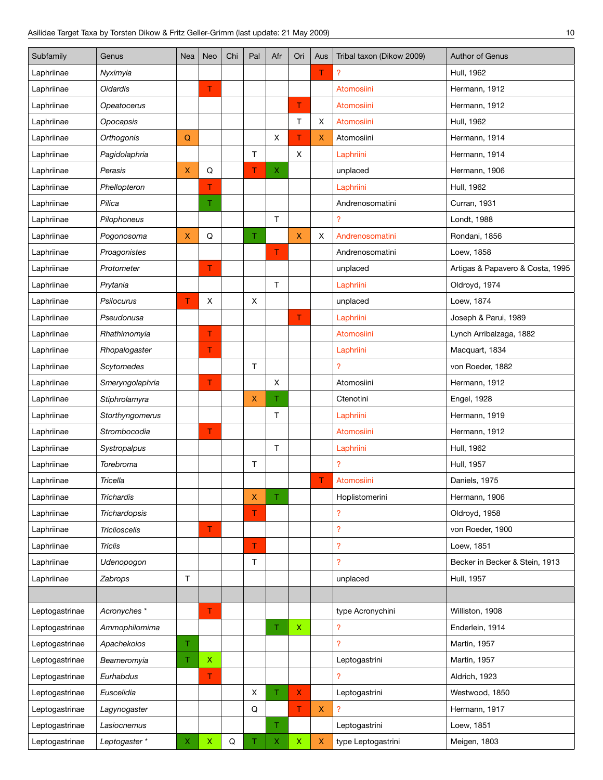| Subfamily      | Genus                | Nea | Neo         | Chi | Pal          | Afr         | Ori         | Aus         | Tribal taxon (Dikow 2009) | <b>Author of Genus</b>           |
|----------------|----------------------|-----|-------------|-----|--------------|-------------|-------------|-------------|---------------------------|----------------------------------|
| Laphriinae     | Nyximyia             |     |             |     |              |             |             | Τ           | ?                         | Hull, 1962                       |
| Laphriinae     | Oidardis             |     | T           |     |              |             |             |             | Atomosiini                | Hermann, 1912                    |
| Laphriinae     | Opeatocerus          |     |             |     |              |             | T           |             | Atomosiini                | Hermann, 1912                    |
| Laphriinae     | Opocapsis            |     |             |     |              |             | Τ           | Χ           | Atomosiini                | Hull, 1962                       |
| Laphriinae     | Orthogonis           | Q   |             |     |              | X           | T           | X           | Atomosiini                | Hermann, 1914                    |
| Laphriinae     | Pagidolaphria        |     |             |     | $\mathsf{T}$ |             | X           |             | Laphriini                 | Hermann, 1914                    |
| Laphriinae     | Perasis              | X   | Q           |     | Τ            | X.          |             |             | unplaced                  | Hermann, 1906                    |
| Laphriinae     | Phellopteron         |     | T           |     |              |             |             |             | Laphriini                 | Hull, 1962                       |
| Laphriinae     | Pilica               |     | Τ           |     |              |             |             |             | Andrenosomatini           | Curran, 1931                     |
| Laphriinae     | Pilophoneus          |     |             |     |              | T           |             |             | <sup>2</sup>              | Londt, 1988                      |
| Laphriinae     | Pogonosoma           | X   | Q           |     | T.           |             | X.          | X           | Andrenosomatini           | Rondani, 1856                    |
| Laphriinae     | Proagonistes         |     |             |     |              | T.          |             |             | Andrenosomatini           | Loew, 1858                       |
| Laphriinae     | Protometer           |     | T           |     |              |             |             |             | unplaced                  | Artigas & Papavero & Costa, 1995 |
| Laphriinae     | Prytania             |     |             |     |              | T.          |             |             | Laphriini                 | Oldroyd, 1974                    |
| Laphriinae     | Psilocurus           | T   | X           |     | X            |             |             |             | unplaced                  | Loew, 1874                       |
| Laphriinae     | Pseudonusa           |     |             |     |              |             | T           |             | Laphriini                 | Joseph & Parui, 1989             |
| Laphriinae     | Rhathimomyia         |     | T           |     |              |             |             |             | Atomosiini                | Lynch Arribalzaga, 1882          |
| Laphriinae     | Rhopalogaster        |     | T           |     |              |             |             |             | Laphriini                 | Macquart, 1834                   |
| Laphriinae     | Scytomedes           |     |             |     | $\top$       |             |             |             | <sup>2</sup>              | von Roeder, 1882                 |
| Laphriinae     | Smeryngolaphria      |     | T           |     |              | Χ           |             |             | Atomosiini                | Hermann, 1912                    |
| Laphriinae     | Stiphrolamyra        |     |             |     | $\mathsf X$  | T           |             |             | Ctenotini                 | Engel, 1928                      |
| Laphriinae     | Storthyngomerus      |     |             |     |              | Τ           |             |             | Laphriini                 | Hermann, 1919                    |
| Laphriinae     | Strombocodia         |     | Τ           |     |              |             |             |             | <b>Atomosiini</b>         | Hermann, 1912                    |
| Laphriinae     | Systropalpus         |     |             |     |              | $\mathsf T$ |             |             | Laphriini                 | Hull, 1962                       |
| Laphriinae     | Torebroma            |     |             |     | Τ            |             |             |             | <sup>2</sup>              | Hull, 1957                       |
| Laphriinae     | Tricella             |     |             |     |              |             |             | Τ           | Atomosiini                | Daniels, 1975                    |
| Laphriinae     | Trichardis           |     |             |     | Χ            | Τ           |             |             | Hoplistomerini            | Hermann, 1906                    |
| Laphriinae     | Trichardopsis        |     |             |     | T.           |             |             |             | ?                         | Oldroyd, 1958                    |
| Laphriinae     | <b>Triclioscelis</b> |     | Τ           |     |              |             |             |             | $\overline{\mathcal{L}}$  | von Roeder, 1900                 |
| Laphriinae     | <b>Triclis</b>       |     |             |     | T.           |             |             |             | ?                         | Loew, 1851                       |
| Laphriinae     | Udenopogon           |     |             |     | $\mathsf T$  |             |             |             | <sup>2</sup>              | Becker in Becker & Stein, 1913   |
| Laphriinae     | Zabrops              | Τ   |             |     |              |             |             |             | unplaced                  | Hull, 1957                       |
|                |                      |     |             |     |              |             |             |             |                           |                                  |
| Leptogastrinae | Acronyches *         |     | Τ           |     |              |             |             |             | type Acronychini          | Williston, 1908                  |
| Leptogastrinae | Ammophilomima        |     |             |     |              | Τ           | $\mathsf X$ |             | <sup>2</sup>              | Enderlein, 1914                  |
| Leptogastrinae | Apachekolos          | T.  |             |     |              |             |             |             | <sup>2</sup>              | Martin, 1957                     |
| Leptogastrinae | Beameromyia          | Τ.  | $\mathsf X$ |     |              |             |             |             | Leptogastrini             | Martin, 1957                     |
| Leptogastrinae | Eurhabdus            |     | T           |     |              |             |             |             | <sup>2</sup>              | Aldrich, 1923                    |
| Leptogastrinae | Euscelidia           |     |             |     | X            | T.          | X.          |             | Leptogastrini             | Westwood, 1850                   |
| Leptogastrinae | Lagynogaster         |     |             |     | Q            |             | T           | $\mathsf X$ | $\overline{?}$            | Hermann, 1917                    |
| Leptogastrinae | Lasiocnemus          |     |             |     |              | T.          |             |             | Leptogastrini             | Loew, 1851                       |
| Leptogastrinae | Leptogaster*         | X   | $\mathsf X$ | Q   | Τ            | X           | X           | X           | type Leptogastrini        | Meigen, 1803                     |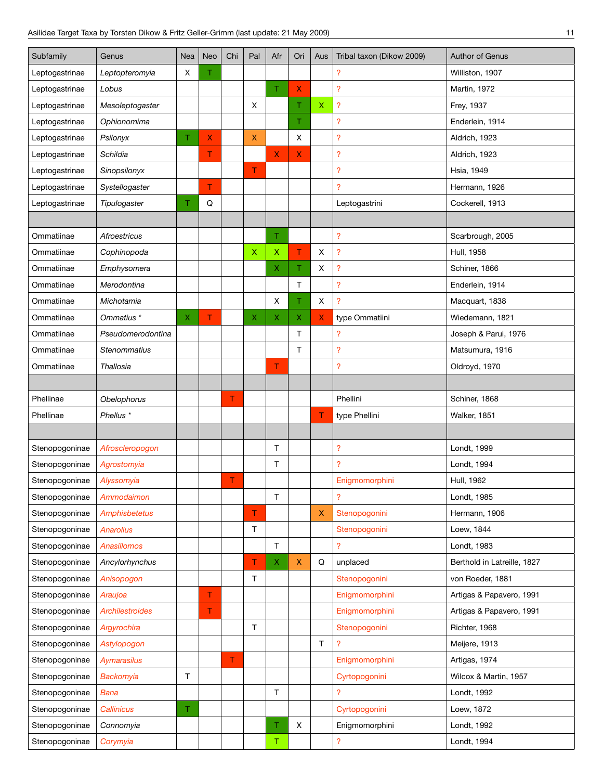| Subfamily      | Genus                  | Nea | Neo | Chi | Pal          | Afr            | Ori | Aus         | Tribal taxon (Dikow 2009) | Author of Genus             |
|----------------|------------------------|-----|-----|-----|--------------|----------------|-----|-------------|---------------------------|-----------------------------|
| Leptogastrinae | Leptopteromyia         | х   | Τ   |     |              |                |     |             | ?                         | Williston, 1907             |
| Leptogastrinae | Lobus                  |     |     |     |              | T.             | X.  |             | $\overline{?}$            | Martin, 1972                |
| Leptogastrinae | Mesoleptogaster        |     |     |     | X            |                | Τ   | $\mathsf X$ | $\overline{\mathcal{L}}$  | Frey, 1937                  |
| Leptogastrinae | Ophionomima            |     |     |     |              |                | Τ   |             | $\overline{?}$            | Enderlein, 1914             |
| Leptogastrinae | Psilonyx               | Τ   | X   |     | $\mathsf{X}$ |                | X   |             | $\overline{\mathcal{E}}$  | Aldrich, 1923               |
| Leptogastrinae | Schildia               |     | T   |     |              | $\overline{X}$ | X.  |             | $\overline{\mathcal{E}}$  | Aldrich, 1923               |
| Leptogastrinae | Sinopsilonyx           |     |     |     | T            |                |     |             | ?                         | <b>Hsia, 1949</b>           |
| Leptogastrinae | Systellogaster         |     | T   |     |              |                |     |             | ?                         | Hermann, 1926               |
| Leptogastrinae | Tipulogaster           | Τ   | Q   |     |              |                |     |             | Leptogastrini             | Cockerell, 1913             |
|                |                        |     |     |     |              |                |     |             |                           |                             |
| Ommatiinae     | Afroestricus           |     |     |     |              | Τ.             |     |             | $\overline{\mathcal{E}}$  | Scarbrough, 2005            |
| Ommatiinae     | Cophinopoda            |     |     |     | $\mathsf X$  | $\mathsf X$    | T   | X           | $\overline{?}$            | Hull, 1958                  |
| Ommatiinae     | Emphysomera            |     |     |     |              | X              | Τ   | X           | $\overline{?}$            | Schiner, 1866               |
| Ommatiinae     | Merodontina            |     |     |     |              |                | T   |             | $\overline{?}$            | Enderlein, 1914             |
| Ommatiinae     | Michotamia             |     |     |     |              | Χ              | Τ   | X           | $\overline{?}$            | Macquart, 1838              |
| Ommatiinae     | Ommatius *             | X   | T   |     | X            | X              | X   | X.          | type Ommatiini            | Wiedemann, 1821             |
| Ommatiinae     | Pseudomerodontina      |     |     |     |              |                | T   |             | 2                         | Joseph & Parui, 1976        |
| Ommatiinae     | Stenommatius           |     |     |     |              |                | T   |             | ?                         | Matsumura, 1916             |
| Ommatiinae     | Thallosia              |     |     |     |              | T              |     |             | $\overline{?}$            | Oldroyd, 1970               |
|                |                        |     |     |     |              |                |     |             |                           |                             |
| Phellinae      | Obelophorus            |     |     | T   |              |                |     |             | Phellini                  | Schiner, 1868               |
| Phellinae      | Phellus <sup>*</sup>   |     |     |     |              |                |     | T           | type Phellini             | <b>Walker, 1851</b>         |
|                |                        |     |     |     |              |                |     |             |                           |                             |
| Stenopogoninae | Afroscleropogon        |     |     |     |              | T              |     |             | ?                         | Londt, 1999                 |
| Stenopogoninae | Agrostomyia            |     |     |     |              | T              |     |             | $\overline{?}$            | Londt, 1994                 |
| Stenopogoninae | Alyssomyia             |     |     | T   |              |                |     |             | Enigmomorphini            | Hull, 1962                  |
| Stenopogoninae | Ammodaimon             |     |     |     |              | т              |     |             | ?                         | Londt, 1985                 |
| Stenopogoninae | Amphisbetetus          |     |     |     | T.           |                |     | X           | Stenopogonini             | Hermann, 1906               |
| Stenopogoninae | <b>Anarolius</b>       |     |     |     | $\top$       |                |     |             | Stenopogonini             | Loew, 1844                  |
| Stenopogoninae | Anasillomos            |     |     |     |              | $\top$         |     |             | $\overline{?}$            | Londt, 1983                 |
| Stenopogoninae | Ancylorhynchus         |     |     |     | T            | X.             | X   | Q           | unplaced                  | Berthold in Latreille, 1827 |
| Stenopogoninae | Anisopogon             |     |     |     | Τ            |                |     |             | Stenopogonini             | von Roeder, 1881            |
| Stenopogoninae | Araujoa                |     | T.  |     |              |                |     |             | Enigmomorphini            | Artigas & Papavero, 1991    |
| Stenopogoninae | <b>Archilestroides</b> |     | T   |     |              |                |     |             | Enigmomorphini            | Artigas & Papavero, 1991    |
| Stenopogoninae | Argyrochira            |     |     |     | $\mathsf T$  |                |     |             | Stenopogonini             | Richter, 1968               |
| Stenopogoninae | Astylopogon            |     |     |     |              |                |     | T           | 2                         | Meijere, 1913               |
| Stenopogoninae | <b>Aymarasilus</b>     |     |     | T   |              |                |     |             | Enigmomorphini            | Artigas, 1974               |
| Stenopogoninae | Backomyia              | T   |     |     |              |                |     |             | Cyrtopogonini             | Wilcox & Martin, 1957       |
| Stenopogoninae | <b>Bana</b>            |     |     |     |              | $\top$         |     |             | 2                         | Londt, 1992                 |
| Stenopogoninae | Callinicus             | Τ.  |     |     |              |                |     |             | Cyrtopogonini             | Loew, 1872                  |
| Stenopogoninae | Connomyia              |     |     |     |              | T.             | X   |             | Enigmomorphini            | Londt, 1992                 |
| Stenopogoninae | Corymyia               |     |     |     |              | $\mathsf T$    |     |             | $\overline{\mathcal{E}}$  | Londt, 1994                 |
|                |                        |     |     |     |              |                |     |             |                           |                             |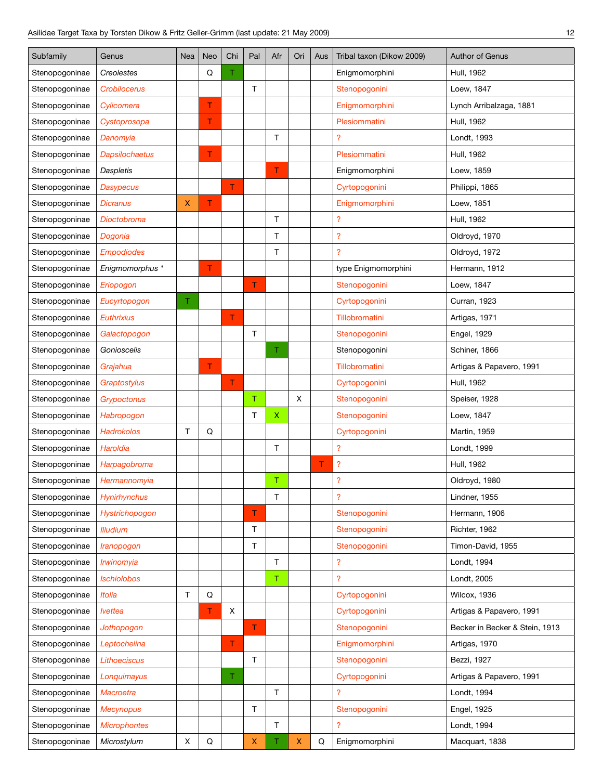| Subfamily      | Genus                 | Nea | <b>Neo</b> | Chi         | Pal | Afr          | Ori          | Aus | Tribal taxon (Dikow 2009) | Author of Genus                |
|----------------|-----------------------|-----|------------|-------------|-----|--------------|--------------|-----|---------------------------|--------------------------------|
| Stenopogoninae | Creolestes            |     | Q          | Τ           |     |              |              |     | Enigmomorphini            | Hull, 1962                     |
| Stenopogoninae | Crobilocerus          |     |            |             | T   |              |              |     | Stenopogonini             | Loew, 1847                     |
| Stenopogoninae | Cylicomera            |     | т          |             |     |              |              |     | Enigmomorphini            | Lynch Arribalzaga, 1881        |
| Stenopogoninae | Cystoprosopa          |     | T.         |             |     |              |              |     | Plesiommatini             | Hull, 1962                     |
| Stenopogoninae | Danomyia              |     |            |             |     | T.           |              |     | $\overline{?}$            | Londt, 1993                    |
| Stenopogoninae | <b>Dapsilochaetus</b> |     | T          |             |     |              |              |     | Plesiommatini             | Hull, 1962                     |
| Stenopogoninae | <b>Daspletis</b>      |     |            |             |     | T            |              |     | Enigmomorphini            | Loew, 1859                     |
| Stenopogoninae | <b>Dasypecus</b>      |     |            | T.          |     |              |              |     | Cyrtopogonini             | Philippi, 1865                 |
| Stenopogoninae | Dicranus              | X   | T          |             |     |              |              |     | Enigmomorphini            | Loew, 1851                     |
| Stenopogoninae | Dioctobroma           |     |            |             |     | T            |              |     | $\overline{\mathcal{L}}$  | Hull, 1962                     |
| Stenopogoninae | Dogonia               |     |            |             |     | T.           |              |     | $\overline{\mathcal{L}}$  | Oldroyd, 1970                  |
| Stenopogoninae | <b>Empodiodes</b>     |     |            |             |     | Τ            |              |     | $\overline{\mathcal{L}}$  | Oldroyd, 1972                  |
| Stenopogoninae | Enigmomorphus *       |     | т          |             |     |              |              |     | type Enigmomorphini       | Hermann, 1912                  |
| Stenopogoninae | Eriopogon             |     |            |             | T   |              |              |     | Stenopogonini             | Loew, 1847                     |
| Stenopogoninae | Eucyrtopogon          | Τ   |            |             |     |              |              |     | Cyrtopogonini             | Curran, 1923                   |
| Stenopogoninae | <b>Euthrixius</b>     |     |            | T           |     |              |              |     | Tillobromatini            | Artigas, 1971                  |
| Stenopogoninae | Galactopogon          |     |            |             | T   |              |              |     | Stenopogonini             | Engel, 1929                    |
| Stenopogoninae | Gonioscelis           |     |            |             |     | T            |              |     | Stenopogonini             | Schiner, 1866                  |
| Stenopogoninae | Grajahua              |     | T          |             |     |              |              |     | Tillobromatini            | Artigas & Papavero, 1991       |
| Stenopogoninae | Graptostylus          |     |            | T           |     |              |              |     | Cyrtopogonini             | Hull, 1962                     |
| Stenopogoninae | Grypoctonus           |     |            |             | T.  |              | $\mathsf{X}$ |     | Stenopogonini             | Speiser, 1928                  |
| Stenopogoninae | Habropogon            |     |            |             | T   | $\mathsf X$  |              |     | Stenopogonini             | Loew, 1847                     |
| Stenopogoninae | <b>Hadrokolos</b>     | T   | Q          |             |     |              |              |     | Cyrtopogonini             | Martin, 1959                   |
| Stenopogoninae | Haroldia              |     |            |             |     | $\mathsf T$  |              |     | $\overline{\mathcal{L}}$  | Londt, 1999                    |
| Stenopogoninae | Harpagobroma          |     |            |             |     |              |              | Τ   | ?                         | Hull, 1962                     |
| Stenopogoninae | Hermannomyia          |     |            |             |     | $\mathsf T$  |              |     | $\overline{\mathcal{L}}$  | Oldroyd, 1980                  |
| Stenopogoninae | Hynirhynchus          |     |            |             |     | Τ            |              |     | ?                         | Lindner, 1955                  |
| Stenopogoninae | Hystrichopogon        |     |            |             | T.  |              |              |     | Stenopogonini             | Hermann, 1906                  |
| Stenopogoninae | <b>Illudium</b>       |     |            |             | T.  |              |              |     | Stenopogonini             | Richter, 1962                  |
| Stenopogoninae | Iranopogon            |     |            |             | T.  |              |              |     | Stenopogonini             | Timon-David, 1955              |
| Stenopogoninae | Irwinomyia            |     |            |             |     | $\top$       |              |     | $\overline{?}$            | Londt, 1994                    |
| Stenopogoninae | <b>Ischiolobos</b>    |     |            |             |     | $\top$       |              |     | $\overline{\mathcal{L}}$  | Londt, 2005                    |
| Stenopogoninae | Itolia                | T   | Q          |             |     |              |              |     | Cyrtopogonini             | Wilcox, 1936                   |
| Stenopogoninae | <b>Ivettea</b>        |     | T.         | $\mathsf X$ |     |              |              |     | Cyrtopogonini             | Artigas & Papavero, 1991       |
| Stenopogoninae | Jothopogon            |     |            |             | T   |              |              |     | Stenopogonini             | Becker in Becker & Stein, 1913 |
| Stenopogoninae | Leptochelina          |     |            | T.          |     |              |              |     | Enigmomorphini            | Artigas, 1970                  |
| Stenopogoninae | <b>Lithoeciscus</b>   |     |            |             | T   |              |              |     | Stenopogonini             | Bezzi, 1927                    |
| Stenopogoninae | Longuimayus           |     |            | Τ           |     |              |              |     | Cyrtopogonini             | Artigas & Papavero, 1991       |
| Stenopogoninae | Macroetra             |     |            |             |     | $\mathsf{T}$ |              |     | $\overline{\mathcal{L}}$  | Londt, 1994                    |
| Stenopogoninae | <b>Mecynopus</b>      |     |            |             | T.  |              |              |     | Stenopogonini             | Engel, 1925                    |
| Stenopogoninae | <b>Microphontes</b>   |     |            |             |     | T.           |              |     | 2                         | Londt, 1994                    |
| Stenopogoninae | Microstylum           | X   | Q          |             | x   | Τ            | X            | Q   | Enigmomorphini            | Macquart, 1838                 |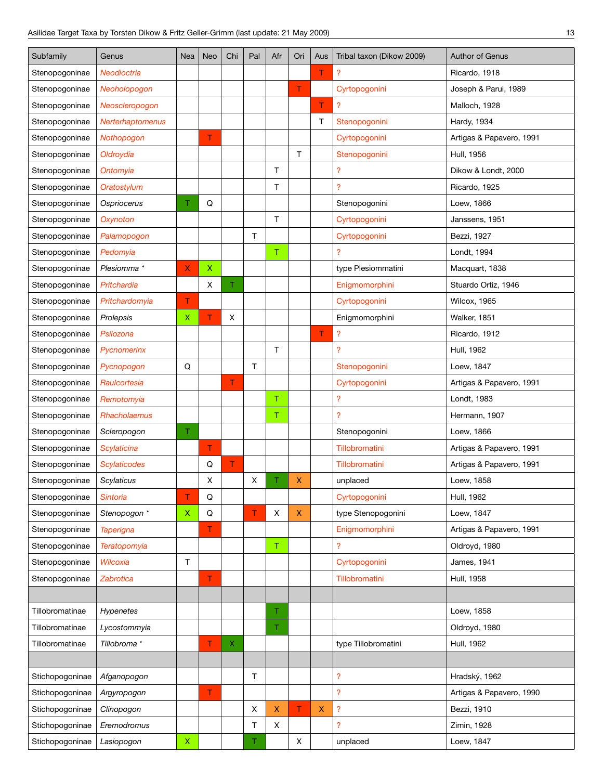| Subfamily       | Genus                   | Nea          | Neo | Chi | Pal | Afr            | Ori            | Aus | Tribal taxon (Dikow 2009)  | Author of Genus          |
|-----------------|-------------------------|--------------|-----|-----|-----|----------------|----------------|-----|----------------------------|--------------------------|
| Stenopogoninae  | Neodioctria             |              |     |     |     |                |                | T   | ?                          | Ricardo, 1918            |
| Stenopogoninae  | Neoholopogon            |              |     |     |     |                | T              |     | Cyrtopogonini              | Joseph & Parui, 1989     |
| Stenopogoninae  | Neoscleropogon          |              |     |     |     |                |                | T   | $\overline{?}$             | Malloch, 1928            |
| Stenopogoninae  | <b>Nerterhaptomenus</b> |              |     |     |     |                |                | т   | Stenopogonini              | Hardy, 1934              |
| Stenopogoninae  | Nothopogon              |              | Τ   |     |     |                |                |     | Cyrtopogonini              | Artigas & Papavero, 1991 |
| Stenopogoninae  | Oldroydia               |              |     |     |     |                | $\mathsf{T}$   |     | Stenopogonini              | Hull, 1956               |
| Stenopogoninae  | Ontomyia                |              |     |     |     | T.             |                |     | $\overline{\mathcal{L}}$   | Dikow & Londt, 2000      |
| Stenopogoninae  | Oratostylum             |              |     |     |     | $\mathsf T$    |                |     | $\overline{?}$             | Ricardo, 1925            |
| Stenopogoninae  | Ospriocerus             | т            | Q   |     |     |                |                |     | Stenopogonini              | Loew, 1866               |
| Stenopogoninae  | Oxynoton                |              |     |     |     | T.             |                |     | Cyrtopogonini              | Janssens, 1951           |
| Stenopogoninae  | Palamopogon             |              |     |     | T.  |                |                |     | Cyrtopogonini              | Bezzi, 1927              |
| Stenopogoninae  | Pedomyia                |              |     |     |     | $\top$         |                |     | $\overline{?}$             | Londt, 1994              |
| Stenopogoninae  | Plesiomma*              | X            | X   |     |     |                |                |     | type Plesiommatini         | Macquart, 1838           |
| Stenopogoninae  | Pritchardia             |              | X   | Τ   |     |                |                |     | Enigmomorphini             | Stuardo Ortiz, 1946      |
| Stenopogoninae  | Pritchardomyia          | т            |     |     |     |                |                |     | Cyrtopogonini              | Wilcox, 1965             |
| Stenopogoninae  | Prolepsis               | X            | т   | X   |     |                |                |     | Enigmomorphini             | Walker, 1851             |
| Stenopogoninae  | Psilozona               |              |     |     |     |                |                | T   | $\overline{\mathcal{L}}$   | Ricardo, 1912            |
| Stenopogoninae  | Pycnomerinx             |              |     |     |     | T.             |                |     | $\overline{?}$             | Hull, 1962               |
| Stenopogoninae  | Pycnopogon              | Q            |     |     | T.  |                |                |     | Stenopogonini              | Loew, 1847               |
| Stenopogoninae  | Raulcortesia            |              |     | T   |     |                |                |     | Cyrtopogonini              | Artigas & Papavero, 1991 |
| Stenopogoninae  | Remotomyia              |              |     |     |     | T              |                |     | $\overline{\mathcal{L}}$   | Londt, 1983              |
| Stenopogoninae  | Rhacholaemus            |              |     |     |     | $\top$         |                |     | $\overline{?}$             | Hermann, 1907            |
| Stenopogoninae  | Scleropogon             | Τ            |     |     |     |                |                |     | Stenopogonini              | Loew, 1866               |
| Stenopogoninae  | Scylaticina             |              | т   |     |     |                |                |     | Tillobromatini             | Artigas & Papavero, 1991 |
| Stenopogoninae  | Scylaticodes            |              | Q   | Τ   |     |                |                |     | Tillobromatini             | Artigas & Papavero, 1991 |
| Stenopogoninae  | Scylaticus              |              | X   |     | X   | Τ              | X              |     | unplaced                   | Loew, 1858               |
| Stenopogoninae  | Sintoria                | т            | Q   |     |     |                |                |     | Cyrtopogonini              | Hull, 1962               |
| Stenopogoninae  | Stenopogon *            | $\mathsf X$  | Q   |     | T   | X              | X.             |     | type Stenopogonini         | Loew, 1847               |
| Stenopogoninae  | <b>Taperigna</b>        |              | Τ   |     |     |                |                |     | Enigmomorphini             | Artigas & Papavero, 1991 |
| Stenopogoninae  | Teratopomyia            |              |     |     |     | $\mathsf T$    |                |     | $\overline{?}$             | Oldroyd, 1980            |
| Stenopogoninae  | Wilcoxia                | $\mathsf{T}$ |     |     |     |                |                |     | Cyrtopogonini              | James, 1941              |
| Stenopogoninae  | Zabrotica               |              | Τ   |     |     |                |                |     | Tillobromatini             | Hull, 1958               |
|                 |                         |              |     |     |     |                |                |     |                            |                          |
| Tillobromatinae | Hypenetes               |              |     |     |     | T.             |                |     |                            | Loew, 1858               |
| Tillobromatinae | Lycostommyia            |              |     |     |     | T              |                |     |                            | Oldroyd, 1980            |
| Tillobromatinae | Tillobroma *            |              | T   | Χ   |     |                |                |     | type Tillobromatini        | Hull, 1962               |
|                 |                         |              |     |     |     |                |                |     |                            |                          |
| Stichopogoninae | Afganopogon             |              |     |     | T.  |                |                |     | $\overline{?}$             | Hradský, 1962            |
| Stichopogoninae | Argyropogon             |              | T   |     |     |                |                |     | $\overline{?}$             | Artigas & Papavero, 1990 |
| Stichopogoninae | Clinopogon              |              |     |     | X   | $\pmb{\times}$ | T              | X   | $\boldsymbol{\mathcal{P}}$ | Bezzi, 1910              |
| Stichopogoninae | Eremodromus             |              |     |     | Τ   | X              |                |     | $\overline{?}$             | Zimin, 1928              |
| Stichopogoninae | Lasiopogon              | $\mathsf X$  |     |     | Τ   |                | $\pmb{\times}$ |     | unplaced                   | Loew, 1847               |